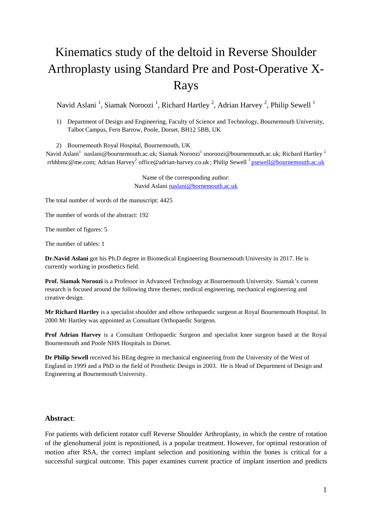# Kinematics study of the deltoid in Reverse Shoulder Arthroplasty using Standard Pre and Post-Operative X-Rays

Navid Aslani<sup>1</sup>, Siamak Noroozi<sup>1</sup>, Richard Hartley<sup>2</sup>, Adrian Harvey<sup>2</sup>, Philip Sewell<sup>1</sup>

1) Department of Design and Engineering, Faculty of Science and Technology, Bournemouth University, Talbot Campus, Fern Barrow, Poole, Dorset, BH12 5BB, UK

2) Bournemouth Royal Hospital, Bournemouth, UK

Navid Aslani $^1\,$  naslani@bournemouth.ac.uk; Siamak Noroozi $^1\,$ snoroozi@bournemouth.ac.uk; Richard Hartley  $^2\,$ rrhhbmc@me.com; Adrian Harvey<sup>2</sup> office@adrian-harvey.co.uk ; Philip Sewell <sup>1</sup> psewell@bournemouth.ac.uk

> Name of the corresponding author: Navid Aslani [naslani@bornemouth.ac.uk](mailto:naslani@bornemouth.ac.uk)

The total number of words of the manuscript: 4425

The number of words of the abstract: 192

The number of figures: 5

The number of tables: 1

**Dr.Navid Aslani** got his Ph.D degree in Biomedical Engineering Bournemouth University in 2017. He is currently working in prosthetics field.

**Prof. Siamak Noroozi** is a Professor in Advanced Technology at Bournemouth University. Siamak's current research is focused around the following three themes; medical engineering, mechanical engineering and creative design.

**Mr Richard Hartley** is a specialist shoulder and elbow orthopaedic surgeon at Royal Bournemouth Hospital. In 2000 Mr Hartley was appointed as Consultant Orthopaedic Surgeon.

**Prof Adrian Harvey** is a Consultant Orthopaedic Surgeon and specialist knee surgeon based at the Royal Bournemouth and Poole NHS Hospitals in Dorset.

**Dr Philip Sewell** received his BEng degree in mechanical engineering from the University of the West of England in 1999 and a PhD in the field of Prosthetic Design in 2003. He is Head of Department of Design and Engineering at Bournemouth University.

#### **Abstract**:

For patients with deficient rotator cuff Reverse Shoulder Arthroplasty, in which the centre of rotation of the glenohumeral joint is repositioned, is a popular treatment. However, for optimal restoration of motion after RSA, the correct implant selection and positioning within the bones is critical for a successful surgical outcome. This paper examines current practice of implant insertion and predicts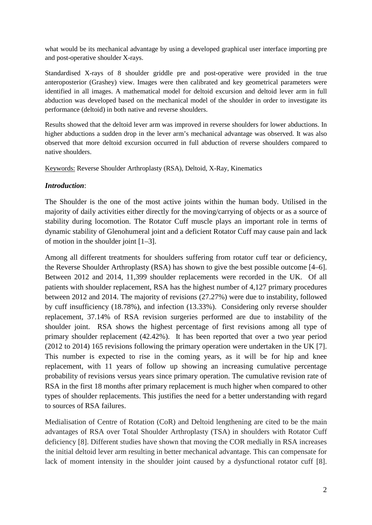what would be its mechanical advantage by using a developed graphical user interface importing pre and post-operative shoulder X-rays.

Standardised X-rays of 8 shoulder griddle pre and post-operative were provided in the true anteroposterior (Grashey) view. Images were then calibrated and key geometrical parameters were identified in all images. A mathematical model for deltoid excursion and deltoid lever arm in full abduction was developed based on the mechanical model of the shoulder in order to investigate its performance (deltoid) in both native and reverse shoulders.

Results showed that the deltoid lever arm was improved in reverse shoulders for lower abductions. In higher abductions a sudden drop in the lever arm's mechanical advantage was observed. It was also observed that more deltoid excursion occurred in full abduction of reverse shoulders compared to native shoulders.

Keywords: Reverse Shoulder Arthroplasty (RSA), Deltoid, X-Ray, Kinematics

## *Introduction*:

The Shoulder is the one of the most active joints within the human body. Utilised in the majority of daily activities either directly for the moving/carrying of objects or as a source of stability during locomotion. The Rotator Cuff muscle plays an important role in terms of dynamic stability of Glenohumeral joint and a deficient Rotator Cuff may cause pain and lack of motion in the shoulder joint [1–3].

Among all different treatments for shoulders suffering from rotator cuff tear or deficiency, the Reverse Shoulder Arthroplasty (RSA) has shown to give the best possible outcome [4–6]. Between 2012 and 2014, 11,399 shoulder replacements were recorded in the UK. Of all patients with shoulder replacement, RSA has the highest number of 4,127 primary procedures between 2012 and 2014. The majority of revisions (27.27%) were due to instability, followed by cuff insufficiency (18.78%), and infection (13.33%). Considering only reverse shoulder replacement, 37.14% of RSA revision surgeries performed are due to instability of the shoulder joint. RSA shows the highest percentage of first revisions among all type of primary shoulder replacement (42.42%). It has been reported that over a two year period (2012 to 2014) 165 revisions following the primary operation were undertaken in the UK [7]. This number is expected to rise in the coming years, as it will be for hip and knee replacement, with 11 years of follow up showing an increasing cumulative percentage probability of revisions versus years since primary operation. The cumulative revision rate of RSA in the first 18 months after primary replacement is much higher when compared to other types of shoulder replacements. This justifies the need for a better understanding with regard to sources of RSA failures.

Medialisation of Centre of Rotation (CoR) and Deltoid lengthening are cited to be the main advantages of RSA over Total Shoulder Arthroplasty (TSA) in shoulders with Rotator Cuff deficiency [8]. Different studies have shown that moving the COR medially in RSA increases the initial deltoid lever arm resulting in better mechanical advantage. This can compensate for lack of moment intensity in the shoulder joint caused by a dysfunctional rotator cuff [8].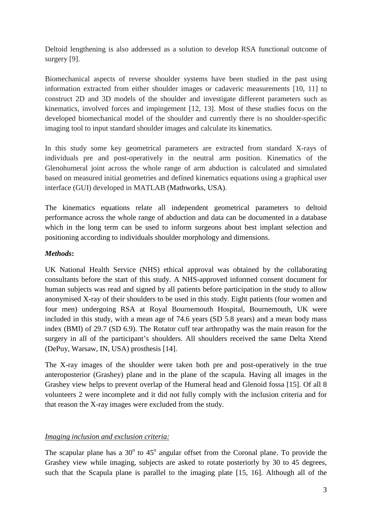Deltoid lengthening is also addressed as a solution to develop RSA functional outcome of surgery [9].

Biomechanical aspects of reverse shoulder systems have been studied in the past using information extracted from either shoulder images or cadaveric measurements [10, 11] to construct 2D and 3D models of the shoulder and investigate different parameters such as kinematics, involved forces and impingement [12, 13]. Most of these studies focus on the developed biomechanical model of the shoulder and currently there is no shoulder-specific imaging tool to input standard shoulder images and calculate its kinematics.

In this study some key geometrical parameters are extracted from standard X-rays of individuals pre and post-operatively in the neutral arm position. Kinematics of the Glenohumeral joint across the whole range of arm abduction is calculated and simulated based on measured initial geometries and defined kinematics equations using a graphical user interface (GUI) developed in MATLAB (Mathworks, USA).

The kinematics equations relate all independent geometrical parameters to deltoid performance across the whole range of abduction and data can be documented in a database which in the long term can be used to inform surgeons about best implant selection and positioning according to individuals shoulder morphology and dimensions.

# *Methods***:**

UK National Health Service (NHS) ethical approval was obtained by the collaborating consultants before the start of this study. A NHS-approved informed consent document for human subjects was read and signed by all patients before participation in the study to allow anonymised X-ray of their shoulders to be used in this study. Eight patients (four women and four men) undergoing RSA at Royal Bournemouth Hospital, Bournemouth, UK were included in this study, with a mean age of 74.6 years (SD 5.8 years) and a mean body mass index (BMI) of 29.7 (SD 6.9). The Rotator cuff tear arthropathy was the main reason for the surgery in all of the participant's shoulders. All shoulders received the same Delta Xtend (DePuy, Warsaw, IN, USA) prosthesis [14].

The X-ray images of the shoulder were taken both pre and post-operatively in the true anteroposterior (Grashey) plane and in the plane of the scapula. Having all images in the Grashey view helps to prevent overlap of the Humeral head and Glenoid fossa [15]. Of all 8 volunteers 2 were incomplete and it did not fully comply with the inclusion criteria and for that reason the X-ray images were excluded from the study.

# *Imaging inclusion and exclusion criteria:*

The scapular plane has a  $30^{\circ}$  to  $45^{\circ}$  angular offset from the Coronal plane. To provide the Grashey view while imaging, subjects are asked to rotate posteriorly by 30 to 45 degrees, such that the Scapula plane is parallel to the imaging plate [15, 16]. Although all of the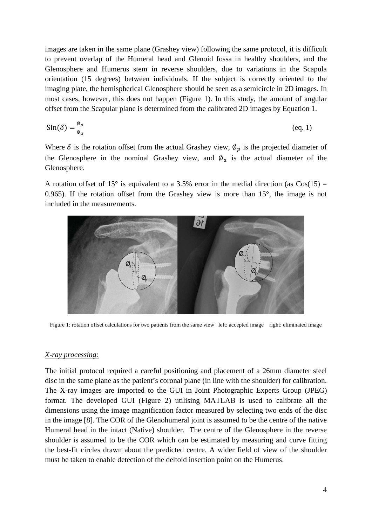images are taken in the same plane (Grashey view) following the same protocol, it is difficult to prevent overlap of the Humeral head and Glenoid fossa in healthy shoulders, and the Glenosphere and Humerus stem in reverse shoulders, due to variations in the Scapula orientation (15 degrees) between individuals. If the subject is correctly oriented to the imaging plate, the hemispherical Glenosphere should be seen as a semicircle in 2D images. In most cases, however, this does not happen [\(Figure 1\)](#page-3-0). In this study, the amount of angular offset from the Scapular plane is determined from the calibrated 2D images by Equation 1.

$$
\sin(\delta) = \frac{\phi_p}{\phi_a} \tag{eq.1}
$$

Where  $\delta$  is the rotation offset from the actual Grashey view,  $\phi_p$  is the projected diameter of the Glenosphere in the nominal Grashey view, and  $\phi_a$  is the actual diameter of the Glenosphere.

A rotation offset of 15° is equivalent to a 3.5% error in the medial direction (as  $Cos(15) =$ 0.965). If the rotation offset from the Grashey view is more than 15°, the image is not included in the measurements.



<span id="page-3-0"></span>Figure 1: rotation offset calculations for two patients from the same view left: accepted image right: eliminated image

## *X-ray processing:*

The initial protocol required a careful positioning and placement of a 26mm diameter steel disc in the same plane as the patient's coronal plane (in line with the shoulder) for calibration. The X-ray images are imported to the GUI in Joint Photographic Experts Group (JPEG) format. The developed GUI [\(Figure 2\)](#page-4-0) utilising MATLAB is used to calibrate all the dimensions using the image magnification factor measured by selecting two ends of the disc in the image [8]. The COR of the Glenohumeral joint is assumed to be the centre of the native Humeral head in the intact (Native) shoulder. The centre of the Glenosphere in the reverse shoulder is assumed to be the COR which can be estimated by measuring and curve fitting the best-fit circles drawn about the predicted centre. A wider field of view of the shoulder must be taken to enable detection of the deltoid insertion point on the Humerus.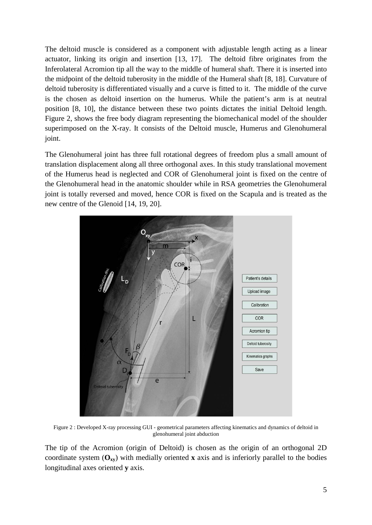The deltoid muscle is considered as a component with adjustable length acting as a linear actuator, linking its origin and insertion [13, 17]. The deltoid fibre originates from the Inferolateral Acromion tip all the way to the middle of humeral shaft. There it is inserted into the midpoint of the deltoid tuberosity in the middle of the Humeral shaft [8, 18]. Curvature of deltoid tuberosity is differentiated visually and a curve is fitted to it. The middle of the curve is the chosen as deltoid insertion on the humerus. While the patient's arm is at neutral position [8, 10], the distance between these two points dictates the initial Deltoid length. [Figure 2,](#page-4-0) shows the free body diagram representing the biomechanical model of the shoulder superimposed on the X-ray. It consists of the Deltoid muscle, Humerus and Glenohumeral joint.

The Glenohumeral joint has three full rotational degrees of freedom plus a small amount of translation displacement along all three orthogonal axes. In this study translational movement of the Humerus head is neglected and COR of Glenohumeral joint is fixed on the centre of the Glenohumeral head in the anatomic shoulder while in RSA geometries the Glenohumeral joint is totally reversed and moved, hence COR is fixed on the Scapula and is treated as the new centre of the Glenoid [14, 19, 20].



<span id="page-4-0"></span>Figure 2 : Developed X-ray processing GUI - geometrical parameters affecting kinematics and dynamics of deltoid in glenohumeral joint abduction

The tip of the Acromion (origin of Deltoid) is chosen as the origin of an orthogonal 2D coordinate system  $(O_{xy})$  with medially oriented **x** axis and is inferiorly parallel to the bodies longitudinal axes oriented **y** axis.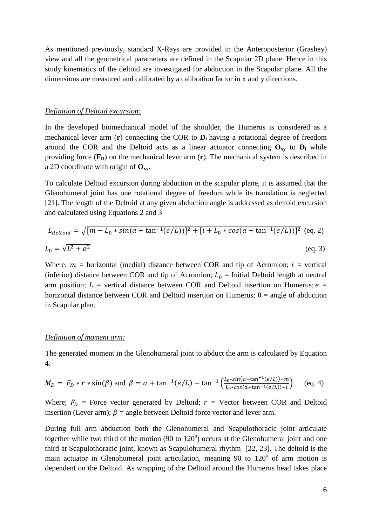As mentioned previously, standard X-Rays are provided in the Anteroposterior (Grashey) view and all the geometrical parameters are defined in the Scapular 2D plane. Hence in this study kinematics of the deltoid are investigated for abduction in the Scapular plane. All the dimensions are measured and calibrated by a calibration factor in x and y directions.

#### *Definition of Deltoid excursion:*

In the developed biomechanical model of the shoulder, the Humerus is considered as a mechanical lever arm (**r**) connecting the COR to **Di** having a rotational degree of freedom around the COR and the Deltoid acts as a linear actuator connecting  $O_{xy}$  to  $D_i$  while providing force  $(F_D)$  on the mechanical lever arm  $(r)$ . The mechanical system is described in a 2D coordinate with origin of **Oxy**.

To calculate Deltoid excursion during abduction in the scapular plane, it is assumed that the Glenohumeral joint has one rotational degree of freedom while its translation is neglected [21]. The length of the Deltoid at any given abduction angle is addressed as deltoid excursion and calculated using Equations 2 and 3

$$
L_{deltoid} = \sqrt{[m - L_0 * sin(a + tan^{-1}(e/L))]^2 + [i + L_0 * cos(a + tan^{-1}(e/L))]^2}
$$
 (eq. 2)  

$$
L_0 = \sqrt{L^2 + e^2}
$$
 (eq. 3)

Where;  $m =$  horizontal (medial) distance between COR and tip of Acromion;  $i =$  vertical (inferior) distance between COR and tip of Acromion;  $L_0 =$  Initial Deltoid length at neutral arm position;  $L =$  vertical distance between COR and Deltoid insertion on Humerus;  $e =$ horizontal distance between COR and Deltoid insertion on Humerus; θ **=** angle of abduction in Scapular plan.

## *Definition of moment arm:*

The generated moment in the Glenohumeral joint to abduct the arm is calculated by Equation 4.

$$
M_D = F_D * r * \sin(\beta) \text{ and } \beta = a + \tan^{-1}(e/L) - \tan^{-1}\left(\frac{L_0 * \sin(a + \tan^{-1}(e/L)) - m}{L_0 * \cos(a + \tan^{-1}(e/L)) + i}\right) \tag{eq.4}
$$

Where;  $F_D$  = Force vector generated by Deltoid;  $r =$  Vector between COR and Deltoid insertion (Lever arm);  $\beta$  = angle between Deltoid force vector and lever arm.

During full arm abduction both the Glenohumeral and Scapulothoracic joint articulate together while two third of the motion  $(90 \text{ to } 120^{\circ})$  occurs at the Glenohumeral joint and one third at Scapulothoracic joint, known as Scapulohumeral rhythm [22, 23]. The deltoid is the main actuator in Glenohumeral joint articulation, meaning  $90$  to  $120^{\circ}$  of arm motion is dependent on the Deltoid. As wrapping of the Deltoid around the Humerus head takes place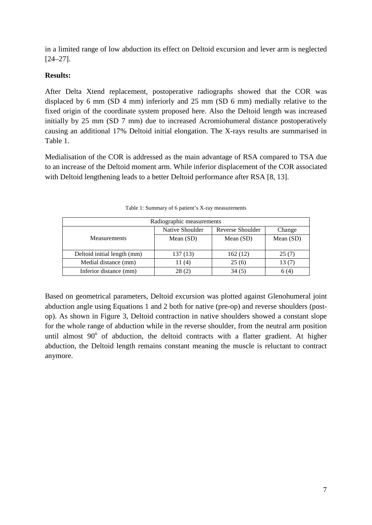in a limited range of low abduction its effect on Deltoid excursion and lever arm is neglected [24–27].

## **Results:**

After Delta Xtend replacement, postoperative radiographs showed that the COR was displaced by 6 mm (SD 4 mm) inferiorly and 25 mm (SD 6 mm) medially relative to the fixed origin of the coordinate system proposed here. Also the Deltoid length was increased initially by 25 mm (SD 7 mm) due to increased Acromiohumeral distance postoperatively causing an additional 17% Deltoid initial elongation. The X-rays results are summarised in [Table 1.](#page-6-0)

Medialisation of the COR is addressed as the main advantage of RSA compared to TSA due to an increase of the Deltoid moment arm. While inferior displacement of the COR associated with Deltoid lengthening leads to a better Deltoid performance after RSA [8, 13].

| Radiographic measurements   |                 |                  |             |
|-----------------------------|-----------------|------------------|-------------|
|                             | Native Shoulder | Reverse Shoulder | Change      |
| <b>Measurements</b>         | Mean $(SD)$     | Mean $(SD)$      | Mean $(SD)$ |
|                             |                 |                  |             |
| Deltoid initial length (mm) | 137 (13)        | 162(12)          | 25(7)       |
| Medial distance (mm)        | 11 $(4)$        | 25(6)            | 13(7)       |
| Inferior distance (mm)      | 28(2)           | 34(5)            | 6(4)        |

Table 1: Summary of 6 patient's X-ray measurements

<span id="page-6-0"></span>Based on geometrical parameters, Deltoid excursion was plotted against Glenohumeral joint abduction angle using Equations 1 and 2 both for native (pre-op) and reverse shoulders (postop). As shown in [Figure 3,](#page-7-0) Deltoid contraction in native shoulders showed a constant slope for the whole range of abduction while in the reverse shoulder, from the neutral arm position until almost  $90^{\circ}$  of abduction, the deltoid contracts with a flatter gradient. At higher abduction, the Deltoid length remains constant meaning the muscle is reluctant to contract anymore.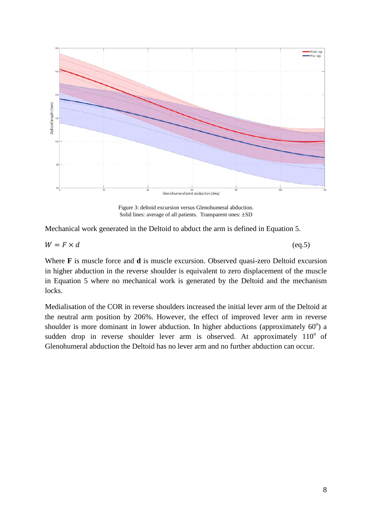

Figure 3: deltoid excursion versus Glenohumeral abduction. Solid lines: average of all patients. Transparent ones:  $\pm SD$ 

<span id="page-7-0"></span>Mechanical work generated in the Deltoid to abduct the arm is defined in Equation 5.

$$
W = F \times d \tag{eq.5}
$$

Where **F** is muscle force and **d** is muscle excursion. Observed quasi-zero Deltoid excursion in higher abduction in the reverse shoulder is equivalent to zero displacement of the muscle in Equation 5 where no mechanical work is generated by the Deltoid and the mechanism locks.

Medialisation of the COR in reverse shoulders increased the initial lever arm of the Deltoid at the neutral arm position by 206%. However, the effect of improved lever arm in reverse shoulder is more dominant in lower abduction. In higher abductions (approximately  $60^{\circ}$ ) a sudden drop in reverse shoulder lever arm is observed. At approximately  $110^{\circ}$  of Glenohumeral abduction the Deltoid has no lever arm and no further abduction can occur.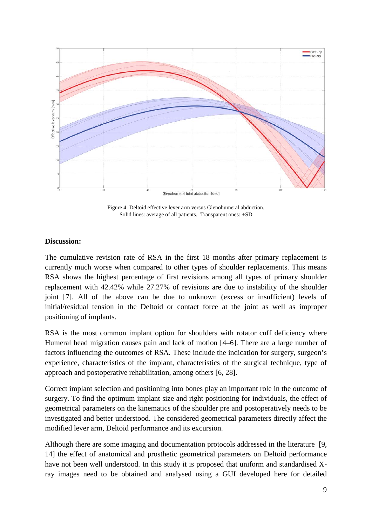

Figure 4: Deltoid effective lever arm versus Glenohumeral abduction. Solid lines: average of all patients. Transparent ones:  $\pm SD$ 

## **Discussion:**

The cumulative revision rate of RSA in the first 18 months after primary replacement is currently much worse when compared to other types of shoulder replacements. This means RSA shows the highest percentage of first revisions among all types of primary shoulder replacement with 42.42% while 27.27% of revisions are due to instability of the shoulder joint [7]. All of the above can be due to unknown (excess or insufficient) levels of initial/residual tension in the Deltoid or contact force at the joint as well as improper positioning of implants.

RSA is the most common implant option for shoulders with rotator cuff deficiency where Humeral head migration causes pain and lack of motion [4–6]. There are a large number of factors influencing the outcomes of RSA. These include the indication for surgery, surgeon's experience, characteristics of the implant, characteristics of the surgical technique, type of approach and postoperative rehabilitation, among others [6, 28].

Correct implant selection and positioning into bones play an important role in the outcome of surgery. To find the optimum implant size and right positioning for individuals, the effect of geometrical parameters on the kinematics of the shoulder pre and postoperatively needs to be investigated and better understood. The considered geometrical parameters directly affect the modified lever arm, Deltoid performance and its excursion.

Although there are some imaging and documentation protocols addressed in the literature [9, 14] the effect of anatomical and prosthetic geometrical parameters on Deltoid performance have not been well understood. In this study it is proposed that uniform and standardised Xray images need to be obtained and analysed using a GUI developed here for detailed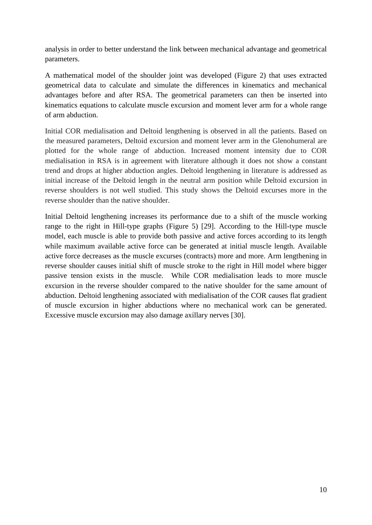analysis in order to better understand the link between mechanical advantage and geometrical parameters.

A mathematical model of the shoulder joint was developed [\(Figure 2\)](#page-4-0) that uses extracted geometrical data to calculate and simulate the differences in kinematics and mechanical advantages before and after RSA. The geometrical parameters can then be inserted into kinematics equations to calculate muscle excursion and moment lever arm for a whole range of arm abduction.

Initial COR medialisation and Deltoid lengthening is observed in all the patients. Based on the measured parameters, Deltoid excursion and moment lever arm in the Glenohumeral are plotted for the whole range of abduction. Increased moment intensity due to COR medialisation in RSA is in agreement with literature although it does not show a constant trend and drops at higher abduction angles. Deltoid lengthening in literature is addressed as initial increase of the Deltoid length in the neutral arm position while Deltoid excursion in reverse shoulders is not well studied. This study shows the Deltoid excurses more in the reverse shoulder than the native shoulder.

Initial Deltoid lengthening increases its performance due to a shift of the muscle working range to the right in Hill-type graphs [\(Figure 5\)](#page-10-0) [29]. According to the Hill-type muscle model, each muscle is able to provide both passive and active forces according to its length while maximum available active force can be generated at initial muscle length. Available active force decreases as the muscle excurses (contracts) more and more. Arm lengthening in reverse shoulder causes initial shift of muscle stroke to the right in Hill model where bigger passive tension exists in the muscle. While COR medialisation leads to more muscle excursion in the reverse shoulder compared to the native shoulder for the same amount of abduction. Deltoid lengthening associated with medialisation of the COR causes flat gradient of muscle excursion in higher abductions where no mechanical work can be generated. Excessive muscle excursion may also damage axillary nerves [30].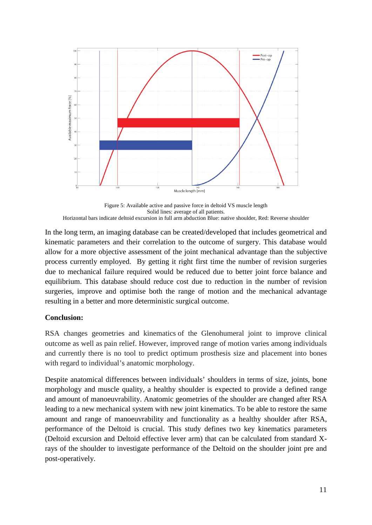

<span id="page-10-0"></span>Figure 5: Available active and passive force in deltoid VS muscle length Solid lines: average of all patients. Horizontal bars indicate deltoid excursion in full arm abduction Blue: native shoulder, Red: Reverse shoulder

In the long term, an imaging database can be created/developed that includes geometrical and kinematic parameters and their correlation to the outcome of surgery. This database would allow for a more objective assessment of the joint mechanical advantage than the subjective process currently employed. By getting it right first time the number of revision surgeries due to mechanical failure required would be reduced due to better joint force balance and equilibrium. This database should reduce cost due to reduction in the number of revision surgeries, improve and optimise both the range of motion and the mechanical advantage resulting in a better and more deterministic surgical outcome.

## **Conclusion:**

RSA changes geometries and kinematics of the Glenohumeral joint to improve clinical outcome as well as pain relief. However, improved range of motion varies among individuals and currently there is no tool to predict optimum prosthesis size and placement into bones with regard to individual's anatomic morphology.

Despite anatomical differences between individuals' shoulders in terms of size, joints, bone morphology and muscle quality, a healthy shoulder is expected to provide a defined range and amount of manoeuvrability. Anatomic geometries of the shoulder are changed after RSA leading to a new mechanical system with new joint kinematics. To be able to restore the same amount and range of manoeuvrability and functionality as a healthy shoulder after RSA, performance of the Deltoid is crucial. This study defines two key kinematics parameters (Deltoid excursion and Deltoid effective lever arm) that can be calculated from standard Xrays of the shoulder to investigate performance of the Deltoid on the shoulder joint pre and post-operatively.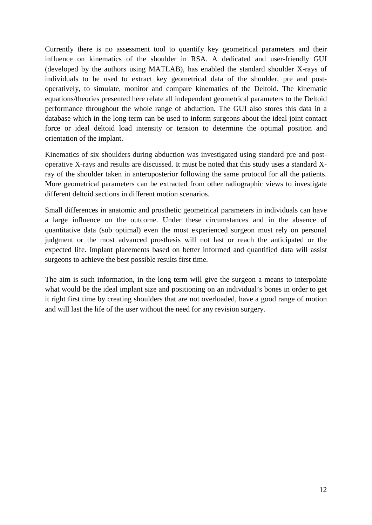Currently there is no assessment tool to quantify key geometrical parameters and their influence on kinematics of the shoulder in RSA. A dedicated and user-friendly GUI (developed by the authors using MATLAB), has enabled the standard shoulder X-rays of individuals to be used to extract key geometrical data of the shoulder, pre and postoperatively, to simulate, monitor and compare kinematics of the Deltoid. The kinematic equations/theories presented here relate all independent geometrical parameters to the Deltoid performance throughout the whole range of abduction. The GUI also stores this data in a database which in the long term can be used to inform surgeons about the ideal joint contact force or ideal deltoid load intensity or tension to determine the optimal position and orientation of the implant.

Kinematics of six shoulders during abduction was investigated using standard pre and postoperative X-rays and results are discussed. It must be noted that this study uses a standard Xray of the shoulder taken in anteroposterior following the same protocol for all the patients. More geometrical parameters can be extracted from other radiographic views to investigate different deltoid sections in different motion scenarios.

Small differences in anatomic and prosthetic geometrical parameters in individuals can have a large influence on the outcome. Under these circumstances and in the absence of quantitative data (sub optimal) even the most experienced surgeon must rely on personal judgment or the most advanced prosthesis will not last or reach the anticipated or the expected life. Implant placements based on better informed and quantified data will assist surgeons to achieve the best possible results first time.

The aim is such information, in the long term will give the surgeon a means to interpolate what would be the ideal implant size and positioning on an individual's bones in order to get it right first time by creating shoulders that are not overloaded, have a good range of motion and will last the life of the user without the need for any revision surgery.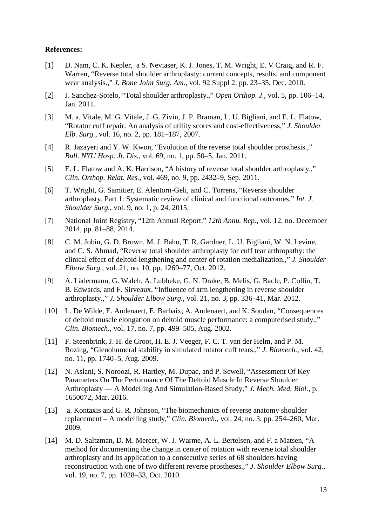## **References:**

- [1] D. Nam, C. K. Kepler, a S. Neviaser, K. J. Jones, T. M. Wright, E. V Craig, and R. F. Warren, "Reverse total shoulder arthroplasty: current concepts, results, and component wear analysis.," *J. Bone Joint Surg. Am.*, vol. 92 Suppl 2, pp. 23–35, Dec. 2010.
- [2] J. Sanchez-Sotelo, "Total shoulder arthroplasty.," *Open Orthop. J.*, vol. 5, pp. 106–14, Jan. 2011.
- [3] M. a. Vitale, M. G. Vitale, J. G. Zivin, J. P. Braman, L. U. Bigliani, and E. L. Flatow, "Rotator cuff repair: An analysis of utility scores and cost-effectiveness," *J. Shoulder Elb. Surg.*, vol. 16, no. 2, pp. 181–187, 2007.
- [4] R. Jazayeri and Y. W. Kwon, "Evolution of the reverse total shoulder prosthesis.," *Bull. NYU Hosp. Jt. Dis.*, vol. 69, no. 1, pp. 50–5, Jan. 2011.
- [5] E. L. Flatow and A. K. Harrison, "A history of reverse total shoulder arthroplasty.," *Clin. Orthop. Relat. Res.*, vol. 469, no. 9, pp. 2432–9, Sep. 2011.
- [6] T. Wright, G. Samitier, E. Alentorn-Geli, and C. Torrens, "Reverse shoulder arthroplasty. Part 1: Systematic review of clinical and functional outcomes," *Int. J. Shoulder Surg.*, vol. 9, no. 1, p. 24, 2015.
- [7] National Joint Registry, "12th Annual Report," *12th Annu. Rep.*, vol. 12, no. December 2014, pp. 81–88, 2014.
- [8] C. M. Jobin, G. D. Brown, M. J. Bahu, T. R. Gardner, L. U. Bigliani, W. N. Levine, and C. S. Ahmad, "Reverse total shoulder arthroplasty for cuff tear arthropathy: the clinical effect of deltoid lengthening and center of rotation medialization.," *J. Shoulder Elbow Surg.*, vol. 21, no. 10, pp. 1269–77, Oct. 2012.
- [9] A. Lädermann, G. Walch, A. Lubbeke, G. N. Drake, B. Melis, G. Bacle, P. Collin, T. B. Edwards, and F. Sirveaux, "Influence of arm lengthening in reverse shoulder arthroplasty.," *J. Shoulder Elbow Surg.*, vol. 21, no. 3, pp. 336–41, Mar. 2012.
- [10] L. De Wilde, E. Audenaert, E. Barbaix, A. Audenaert, and K. Soudan, "Consequences" of deltoid muscle elongation on deltoid muscle performance: a computerised study.," *Clin. Biomech.*, vol. 17, no. 7, pp. 499–505, Aug. 2002.
- [11] F. Steenbrink, J. H. de Groot, H. E. J. Veeger, F. C. T. van der Helm, and P. M. Rozing, "Glenohumeral stability in simulated rotator cuff tears.," *J. Biomech.*, vol. 42, no. 11, pp. 1740–5, Aug. 2009.
- [12] N. Aslani, S. Noroozi, R. Hartley, M. Dupac, and P. Sewell, "Assessment Of Key Parameters On The Performance Of The Deltoid Muscle In Reverse Shoulder Arthroplasty — A Modelling And Simulation-Based Study," *J. Mech. Med. Biol.*, p. 1650072, Mar. 2016.
- [13] a. Kontaxis and G. R. Johnson, "The biomechanics of reverse anatomy shoulder replacement – A modelling study," *Clin. Biomech.*, vol. 24, no. 3, pp. 254–260, Mar. 2009.
- [14] M. D. Saltzman, D. M. Mercer, W. J. Warme, A. L. Bertelsen, and F. a Matsen, "A method for documenting the change in center of rotation with reverse total shoulder arthroplasty and its application to a consecutive series of 68 shoulders having reconstruction with one of two different reverse prostheses.," *J. Shoulder Elbow Surg.*, vol. 19, no. 7, pp. 1028–33, Oct. 2010.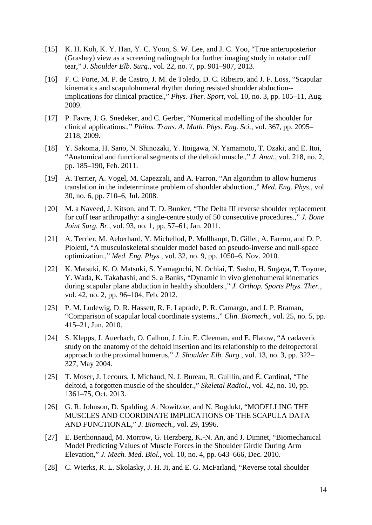- [15] K. H. Koh, K. Y. Han, Y. C. Yoon, S. W. Lee, and J. C. Yoo, "True anteroposterior" (Grashey) view as a screening radiograph for further imaging study in rotator cuff tear," *J. Shoulder Elb. Surg.*, vol. 22, no. 7, pp. 901–907, 2013.
- [16] F. C. Forte, M. P. de Castro, J. M. de Toledo, D. C. Ribeiro, and J. F. Loss, "Scapular kinematics and scapulohumeral rhythm during resisted shoulder abduction- implications for clinical practice.," *Phys. Ther. Sport*, vol. 10, no. 3, pp. 105–11, Aug. 2009.
- [17] P. Favre, J. G. Snedeker, and C. Gerber, "Numerical modelling of the shoulder for clinical applications.," *Philos. Trans. A. Math. Phys. Eng. Sci.*, vol. 367, pp. 2095– 2118, 2009.
- [18] Y. Sakoma, H. Sano, N. Shinozaki, Y. Itoigawa, N. Yamamoto, T. Ozaki, and E. Itoi, "Anatomical and functional segments of the deltoid muscle.," *J. Anat.*, vol. 218, no. 2, pp. 185–190, Feb. 2011.
- [19] A. Terrier, A. Vogel, M. Capezzali, and A. Farron, "An algorithm to allow humerus translation in the indeterminate problem of shoulder abduction.," *Med. Eng. Phys.*, vol. 30, no. 6, pp. 710–6, Jul. 2008.
- [20] M. a Naveed, J. Kitson, and T. D. Bunker, "The Delta III reverse shoulder replacement for cuff tear arthropathy: a single-centre study of 50 consecutive procedures.," *J. Bone Joint Surg. Br.*, vol. 93, no. 1, pp. 57–61, Jan. 2011.
- [21] A. Terrier, M. Aeberhard, Y. Michellod, P. Mullhaupt, D. Gillet, A. Farron, and D. P. Pioletti, "A musculoskeletal shoulder model based on pseudo-inverse and null-space optimization.," *Med. Eng. Phys.*, vol. 32, no. 9, pp. 1050–6, Nov. 2010.
- [22] K. Matsuki, K. O. Matsuki, S. Yamaguchi, N. Ochiai, T. Sasho, H. Sugaya, T. Toyone, Y. Wada, K. Takahashi, and S. a Banks, "Dynamic in vivo glenohumeral kinematics during scapular plane abduction in healthy shoulders.," *J. Orthop. Sports Phys. Ther.*, vol. 42, no. 2, pp. 96–104, Feb. 2012.
- [23] P. M. Ludewig, D. R. Hassett, R. F. Laprade, P. R. Camargo, and J. P. Braman, "Comparison of scapular local coordinate systems.," *Clin. Biomech.*, vol. 25, no. 5, pp. 415–21, Jun. 2010.
- [24] S. Klepps, J. Auerbach, O. Calhon, J. Lin, E. Cleeman, and E. Flatow, "A cadaveric study on the anatomy of the deltoid insertion and its relationship to the deltopectoral approach to the proximal humerus," *J. Shoulder Elb. Surg.*, vol. 13, no. 3, pp. 322– 327, May 2004.
- [25] T. Moser, J. Lecours, J. Michaud, N. J. Bureau, R. Guillin, and É. Cardinal, "The deltoid, a forgotten muscle of the shoulder.," *Skeletal Radiol.*, vol. 42, no. 10, pp. 1361–75, Oct. 2013.
- [26] G. R. Johnson, D. Spalding, A. Nowitzke, and N. Bogdukt, "MODELLING THE MUSCLES AND COORDINATE IMPLICATIONS OF THE SCAPULA DATA AND FUNCTIONAL," *J. Biomech.*, vol. 29, 1996.
- [27] E. Berthonnaud, M. Morrow, G. Herzberg, K.-N. An, and J. Dimnet, "Biomechanical" Model Predicting Values of Muscle Forces in the Shoulder Girdle During Arm Elevation," *J. Mech. Med. Biol.*, vol. 10, no. 4, pp. 643–666, Dec. 2010.
- [28] C. Wierks, R. L. Skolasky, J. H. Ji, and E. G. McFarland, "Reverse total shoulder